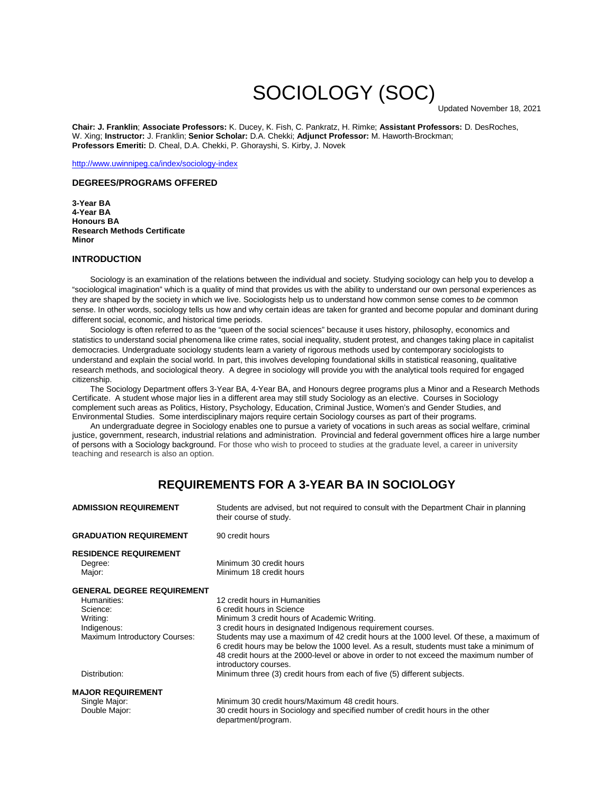# SOCIOLOGY (SOC)<br>Updated November 18, 2021

**Chair: J. Franklin**; **Associate Professors:** K. Ducey, K. Fish, C. Pankratz, H. Rimke; **Assistant Professors:** D. DesRoches, W. Xing; **Instructor:** J. Franklin; **Senior Scholar:** D.A. Chekki; **Adjunct Professor:** M. Haworth-Brockman; **Professors Emeriti:** D. Cheal, D.A. Chekki, P. Ghorayshi, S. Kirby, J. Novek

<http://www.uwinnipeg.ca/index/sociology-index>

#### **DEGREES/PROGRAMS OFFERED**

**3-Year BA 4-Year BA Honours BA Research Methods Certificate Minor**

### **INTRODUCTION**

 Sociology is an examination of the relations between the individual and society. Studying sociology can help you to develop a "sociological imagination" which is a quality of mind that provides us with the ability to understand our own personal experiences as they are shaped by the society in which we live. Sociologists help us to understand how common sense comes to *be* common sense. In other words, sociology tells us how and why certain ideas are taken for granted and become popular and dominant during different social, economic, and historical time periods.

 Sociology is often referred to as the "queen of the social sciences" because it uses history, philosophy, economics and statistics to understand social phenomena like crime rates, social inequality, student protest, and changes taking place in capitalist democracies. Undergraduate sociology students learn a variety of rigorous methods used by contemporary sociologists to understand and explain the social world. In part, this involves developing foundational skills in statistical reasoning, qualitative research methods, and sociological theory. A degree in sociology will provide you with the analytical tools required for engaged citizenship.

The Sociology Department offers 3-Year BA, 4-Year BA, and Honours degree programs plus a Minor and a Research Methods Certificate. A student whose major lies in a different area may still study Sociology as an elective. Courses in Sociology complement such areas as Politics, History, Psychology, Education, Criminal Justice, Women's and Gender Studies, and Environmental Studies. Some interdisciplinary majors require certain Sociology courses as part of their programs.

An undergraduate degree in Sociology enables one to pursue a variety of vocations in such areas as social welfare, criminal justice, government, research, industrial relations and administration. Provincial and federal government offices hire a large number of persons with a Sociology background. For those who wish to proceed to studies at the graduate level, a career in university teaching and research is also an option.

## **REQUIREMENTS FOR A 3-YEAR BA IN SOCIOLOGY**

| <b>ADMISSION REQUIREMENT</b>                                                                                                              | Students are advised, but not required to consult with the Department Chair in planning<br>their course of study.                                                                                                                                                                                                                                                                                                                                                                                                                                                |
|-------------------------------------------------------------------------------------------------------------------------------------------|------------------------------------------------------------------------------------------------------------------------------------------------------------------------------------------------------------------------------------------------------------------------------------------------------------------------------------------------------------------------------------------------------------------------------------------------------------------------------------------------------------------------------------------------------------------|
| <b>GRADUATION REQUIREMENT</b>                                                                                                             | 90 credit hours                                                                                                                                                                                                                                                                                                                                                                                                                                                                                                                                                  |
| <b>RESIDENCE REQUIREMENT</b><br>Degree:<br>Major:                                                                                         | Minimum 30 credit hours<br>Minimum 18 credit hours                                                                                                                                                                                                                                                                                                                                                                                                                                                                                                               |
| <b>GENERAL DEGREE REQUIREMENT</b><br>Humanities:<br>Science:<br>Writing:<br>Indigenous:<br>Maximum Introductory Courses:<br>Distribution: | 12 credit hours in Humanities<br>6 credit hours in Science<br>Minimum 3 credit hours of Academic Writing.<br>3 credit hours in designated Indigenous requirement courses.<br>Students may use a maximum of 42 credit hours at the 1000 level. Of these, a maximum of<br>6 credit hours may be below the 1000 level. As a result, students must take a minimum of<br>48 credit hours at the 2000-level or above in order to not exceed the maximum number of<br>introductory courses.<br>Minimum three (3) credit hours from each of five (5) different subjects. |
| <b>MAJOR REQUIREMENT</b><br>Single Major:<br>Double Major:                                                                                | Minimum 30 credit hours/Maximum 48 credit hours.<br>30 credit hours in Sociology and specified number of credit hours in the other<br>department/program.                                                                                                                                                                                                                                                                                                                                                                                                        |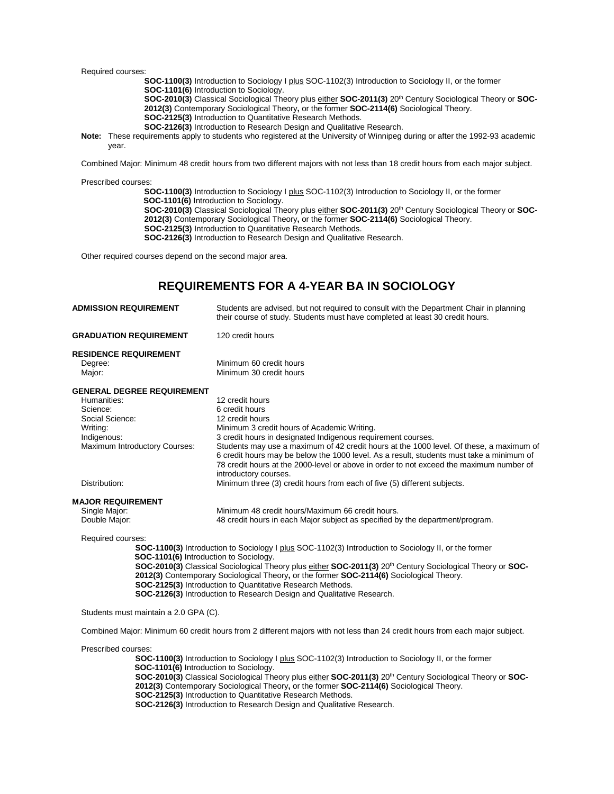Required courses:

 **SOC-1100(3)** Introduction to Sociology I plus SOC-1102(3) Introduction to Sociology II, or the former **SOC-1101(6)** Introduction to Sociology.

**SOC-2010(3)** Classical Sociological Theory plus either SOC-2011(3) 20<sup>th</sup> Century Sociological Theory or SOC-**2012(3)** Contemporary Sociological Theory**,** or the former **SOC-2114(6)** Sociological Theory.

 **SOC-2125(3)** Introduction to Quantitative Research Methods.

 **SOC-2126(3)** Introduction to Research Design and Qualitative Research.

 **Note:** These requirements apply to students who registered at the University of Winnipeg during or after the 1992-93 academic year.

Combined Major: Minimum 48 credit hours from two different majors with not less than 18 credit hours from each major subject.

Prescribed courses:

 **SOC-1100(3)** Introduction to Sociology I plus SOC-1102(3) Introduction to Sociology II, or the former  **SOC-1101(6)** Introduction to Sociology. **SOC-2010(3)** Classical Sociological Theory plus either **SOC-2011(3)** 20<sup>th</sup> Century Sociological Theory or **SOC-2012(3)** Contemporary Sociological Theory**,** or the former **SOC-2114(6)** Sociological Theory.  **SOC-2125(3)** Introduction to Quantitative Research Methods.  **SOC-2126(3)** Introduction to Research Design and Qualitative Research.

Other required courses depend on the second major area.

## **REQUIREMENTS FOR A 4-YEAR BA IN SOCIOLOGY**

| <b>ADMISSION REQUIREMENT</b>                                                                                                                | Students are advised, but not required to consult with the Department Chair in planning<br>their course of study. Students must have completed at least 30 credit hours.                                                                                                                                                                                                                                                                                                       |  |
|---------------------------------------------------------------------------------------------------------------------------------------------|--------------------------------------------------------------------------------------------------------------------------------------------------------------------------------------------------------------------------------------------------------------------------------------------------------------------------------------------------------------------------------------------------------------------------------------------------------------------------------|--|
| <b>GRADUATION REQUIREMENT</b>                                                                                                               | 120 credit hours                                                                                                                                                                                                                                                                                                                                                                                                                                                               |  |
| <b>RESIDENCE REQUIREMENT</b><br>Degree:<br>Major:                                                                                           | Minimum 60 credit hours<br>Minimum 30 credit hours                                                                                                                                                                                                                                                                                                                                                                                                                             |  |
| <b>GENERAL DEGREE REQUIREMENT</b><br>Humanities:<br>Science:<br>Social Science:<br>Writing:<br>Indigenous:<br>Maximum Introductory Courses: | 12 credit hours<br>6 credit hours<br>12 credit hours<br>Minimum 3 credit hours of Academic Writing.<br>3 credit hours in designated Indigenous requirement courses.<br>Students may use a maximum of 42 credit hours at the 1000 level. Of these, a maximum of<br>6 credit hours may be below the 1000 level. As a result, students must take a minimum of<br>78 credit hours at the 2000-level or above in order to not exceed the maximum number of<br>introductory courses. |  |
| Distribution:                                                                                                                               | Minimum three (3) credit hours from each of five (5) different subjects.                                                                                                                                                                                                                                                                                                                                                                                                       |  |
| <b>MAJOR REQUIREMENT</b><br>Single Major:<br>Double Major:                                                                                  | Minimum 48 credit hours/Maximum 66 credit hours.<br>48 credit hours in each Major subject as specified by the department/program.                                                                                                                                                                                                                                                                                                                                              |  |
| Required courses:<br>SOC-1101(6) Introduction to Sociology.                                                                                 | <b>SOC-1100(3)</b> Introduction to Sociology I plus SOC-1102(3) Introduction to Sociology II, or the former<br>SOC-2010(3) Classical Sociological Theory plus either SOC-2011(3) 20 <sup>th</sup> Century Sociological Theory or SOC-<br>2012(3) Contemporary Sociological Theory, or the former SOC-2114(6) Sociological Theory.<br>SOC-2125(3) Introduction to Quantitative Research Methods.<br>SOC-2126(3) Introduction to Research Design and Qualitative Research.       |  |

Students must maintain a 2.0 GPA (C).

Combined Major: Minimum 60 credit hours from 2 different majors with not less than 24 credit hours from each major subject.

Prescribed courses:

 **SOC-1100(3)** Introduction to Sociology I plus SOC-1102(3) Introduction to Sociology II, or the former  **SOC-1101(6)** Introduction to Sociology.  **SOC-2010(3)** Classical Sociological Theory plus either **SOC-2011(3)** 20<sup>th</sup> Century Sociological Theory or **SOC-2012(3)** Contemporary Sociological Theory**,** or the former **SOC-2114(6)** Sociological Theory. **SOC-2125(3)** Introduction to Quantitative Research Methods.  **SOC-2126(3)** Introduction to Research Design and Qualitative Research.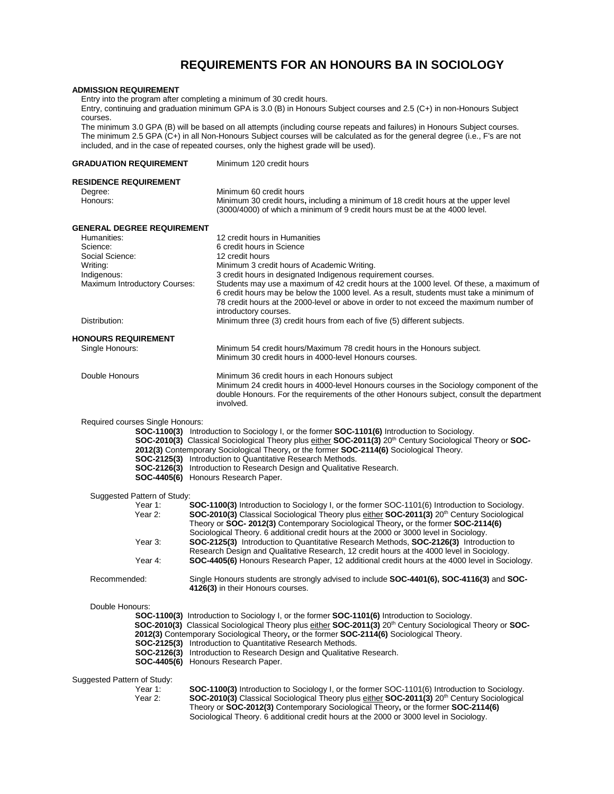## **REQUIREMENTS FOR AN HONOURS BA IN SOCIOLOGY**

#### **ADMISSION REQUIREMENT**

Entry into the program after completing a minimum of 30 credit hours.

Entry, continuing and graduation minimum GPA is 3.0 (B) in Honours Subject courses and 2.5 (C+) in non-Honours Subject courses.

The minimum 3.0 GPA (B) will be based on all attempts (including course repeats and failures) in Honours Subject courses. The minimum 2.5 GPA (C+) in all Non-Honours Subject courses will be calculated as for the general degree (i.e., F's are not included, and in the case of repeated courses, only the highest grade will be used).

| <b>GRADUATION REQUIREMENT</b>                                                                                                                                | Minimum 120 credit hours                                                                                                                                                                                                                                                                                                                                                                                                                                                                                                                                                                                                                                                                          |  |
|--------------------------------------------------------------------------------------------------------------------------------------------------------------|---------------------------------------------------------------------------------------------------------------------------------------------------------------------------------------------------------------------------------------------------------------------------------------------------------------------------------------------------------------------------------------------------------------------------------------------------------------------------------------------------------------------------------------------------------------------------------------------------------------------------------------------------------------------------------------------------|--|
| <b>RESIDENCE REQUIREMENT</b><br>Degree:<br>Honours:                                                                                                          | Minimum 60 credit hours<br>Minimum 30 credit hours, including a minimum of 18 credit hours at the upper level<br>(3000/4000) of which a minimum of 9 credit hours must be at the 4000 level.                                                                                                                                                                                                                                                                                                                                                                                                                                                                                                      |  |
| <b>GENERAL DEGREE REQUIREMENT</b><br>Humanities:<br>Science:<br>Social Science:<br>Writing:<br>Indigenous:<br>Maximum Introductory Courses:<br>Distribution: | 12 credit hours in Humanities<br>6 credit hours in Science<br>12 credit hours<br>Minimum 3 credit hours of Academic Writing.<br>3 credit hours in designated Indigenous requirement courses.<br>Students may use a maximum of 42 credit hours at the 1000 level. Of these, a maximum of<br>6 credit hours may be below the 1000 level. As a result, students must take a minimum of<br>78 credit hours at the 2000-level or above in order to not exceed the maximum number of<br>introductory courses.<br>Minimum three (3) credit hours from each of five (5) different subjects.                                                                                                               |  |
| <b>HONOURS REQUIREMENT</b><br>Single Honours:                                                                                                                | Minimum 54 credit hours/Maximum 78 credit hours in the Honours subject.<br>Minimum 30 credit hours in 4000-level Honours courses.                                                                                                                                                                                                                                                                                                                                                                                                                                                                                                                                                                 |  |
| Double Honours                                                                                                                                               | Minimum 36 credit hours in each Honours subject<br>Minimum 24 credit hours in 4000-level Honours courses in the Sociology component of the<br>double Honours. For the requirements of the other Honours subject, consult the department<br>involved.                                                                                                                                                                                                                                                                                                                                                                                                                                              |  |
| Required courses Single Honours:<br>Suggested Pattern of Study:<br>Year 1:<br>Year 2:                                                                        | SOC-1100(3) Introduction to Sociology I, or the former SOC-1101(6) Introduction to Sociology.<br>SOC-2010(3) Classical Sociological Theory plus either SOC-2011(3) 20 <sup>th</sup> Century Sociological Theory or SOC-<br>2012(3) Contemporary Sociological Theory, or the former SOC-2114(6) Sociological Theory.<br>SOC-2125(3) Introduction to Quantitative Research Methods.<br>SOC-2126(3) Introduction to Research Design and Qualitative Research.<br>SOC-4405(6) Honours Research Paper.<br>SOC-1100(3) Introduction to Sociology I, or the former SOC-1101(6) Introduction to Sociology.<br>SOC-2010(3) Classical Sociological Theory plus either SOC-2011(3) 20th Century Sociological |  |
| Year 3:<br>Year 4:                                                                                                                                           | Theory or SOC-2012(3) Contemporary Sociological Theory, or the former SOC-2114(6)<br>Sociological Theory. 6 additional credit hours at the 2000 or 3000 level in Sociology.<br>SOC-2125(3) Introduction to Quantitative Research Methods, SOC-2126(3) Introduction to<br>Research Design and Qualitative Research, 12 credit hours at the 4000 level in Sociology.<br>SOC-4405(6) Honours Research Paper, 12 additional credit hours at the 4000 level in Sociology.                                                                                                                                                                                                                              |  |
| Recommended:                                                                                                                                                 | Single Honours students are strongly advised to include <b>SOC-4401(6), SOC-4116(3)</b> and <b>SOC-</b><br>4126(3) in their Honours courses.                                                                                                                                                                                                                                                                                                                                                                                                                                                                                                                                                      |  |
| Double Honours:                                                                                                                                              | SOC-1100(3) Introduction to Sociology I, or the former SOC-1101(6) Introduction to Sociology.<br>SOC-2010(3) Classical Sociological Theory plus either SOC-2011(3) 20 <sup>th</sup> Century Sociological Theory or SOC-<br>2012(3) Contemporary Sociological Theory, or the former SOC-2114(6) Sociological Theory.<br><b>SOC-2125(3)</b> Introduction to Quantitative Research Methods.<br>SOC-2126(3) Introduction to Research Design and Qualitative Research.<br>SOC-4405(6) Honours Research Paper.                                                                                                                                                                                          |  |
| Suggested Pattern of Study:<br>Year 1:<br>Year 2:                                                                                                            | SOC-1100(3) Introduction to Sociology I, or the former SOC-1101(6) Introduction to Sociology.<br>SOC-2010(3) Classical Sociological Theory plus either SOC-2011(3) 20 <sup>th</sup> Century Sociological<br>Theory or SOC-2012(3) Contemporary Sociological Theory, or the former SOC-2114(6)<br>Sociological Theory. 6 additional credit hours at the 2000 or 3000 level in Sociology.                                                                                                                                                                                                                                                                                                           |  |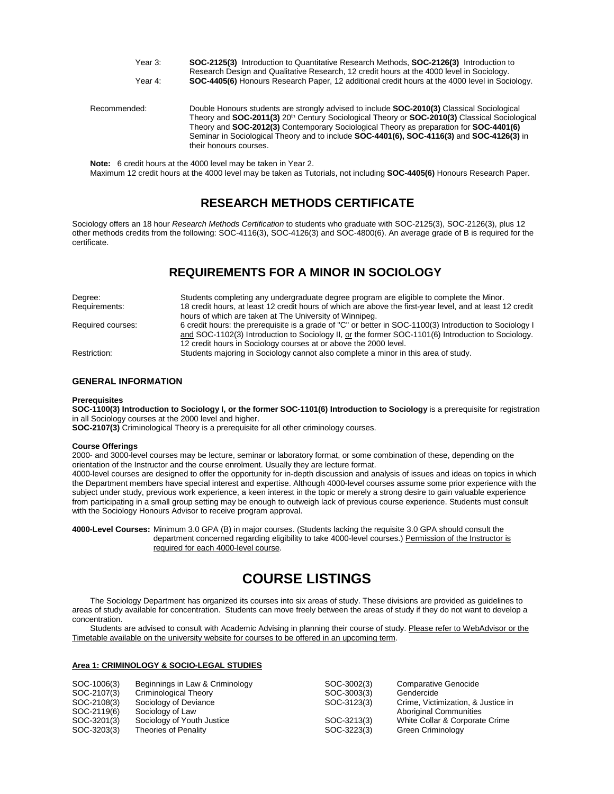| Year 3:      | SOC-2125(3) Introduction to Quantitative Research Methods, SOC-2126(3) Introduction to<br>Research Design and Qualitative Research, 12 credit hours at the 4000 level in Sociology.                                                                                                                                                                                                                                             |
|--------------|---------------------------------------------------------------------------------------------------------------------------------------------------------------------------------------------------------------------------------------------------------------------------------------------------------------------------------------------------------------------------------------------------------------------------------|
| Year 4:      | SOC-4405(6) Honours Research Paper, 12 additional credit hours at the 4000 level in Sociology.                                                                                                                                                                                                                                                                                                                                  |
| Recommended: | Double Honours students are strongly advised to include <b>SOC-2010(3)</b> Classical Sociological<br>Theory and SOC-2011(3) 20 <sup>th</sup> Century Sociological Theory or SOC-2010(3) Classical Sociological<br>Theory and SOC-2012(3) Contemporary Sociological Theory as preparation for SOC-4401(6)<br>Seminar in Sociological Theory and to include SOC-4401(6), SOC-4116(3) and SOC-4126(3) in<br>their honours courses. |

**Note:** 6 credit hours at the 4000 level may be taken in Year 2. Maximum 12 credit hours at the 4000 level may be taken as Tutorials, not including **SOC-4405(6)** Honours Research Paper.

## **RESEARCH METHODS CERTIFICATE**

Sociology offers an 18 hour *Research Methods Certification* to students who graduate with SOC-2125(3), SOC-2126(3), plus 12 other methods credits from the following: SOC-4116(3), SOC-4126(3) and SOC-4800(6). An average grade of B is required for the certificate.

## **REQUIREMENTS FOR A MINOR IN SOCIOLOGY**

| Degree:           | Students completing any undergraduate degree program are eligible to complete the Minor.                                                                                                                      |
|-------------------|---------------------------------------------------------------------------------------------------------------------------------------------------------------------------------------------------------------|
| Requirements:     | 18 credit hours, at least 12 credit hours of which are above the first-year level, and at least 12 credit                                                                                                     |
|                   | hours of which are taken at The University of Winnipeg.                                                                                                                                                       |
| Required courses: | 6 credit hours: the prerequisite is a grade of "C" or better in SOC-1100(3) Introduction to Sociology I<br>and SOC-1102(3) Introduction to Sociology II, or the former SOC-1101(6) Introduction to Sociology. |
|                   | 12 credit hours in Sociology courses at or above the 2000 level.                                                                                                                                              |
| Restriction:      | Students majoring in Sociology cannot also complete a minor in this area of study.                                                                                                                            |

## **GENERAL INFORMATION**

#### **Prerequisites**

**SOC-1100(3) Introduction to Sociology I, or the former SOC-1101(6) Introduction to Sociology** is a prerequisite for registration in all Sociology courses at the 2000 level and higher.

**SOC-2107(3)** Criminological Theory is a prerequisite for all other criminology courses.

#### **Course Offerings**

2000- and 3000-level courses may be lecture, seminar or laboratory format, or some combination of these, depending on the orientation of the Instructor and the course enrolment. Usually they are lecture format.

4000-level courses are designed to offer the opportunity for in-depth discussion and analysis of issues and ideas on topics in which the Department members have special interest and expertise. Although 4000-level courses assume some prior experience with the subject under study, previous work experience, a keen interest in the topic or merely a strong desire to gain valuable experience from participating in a small group setting may be enough to outweigh lack of previous course experience. Students must consult with the Sociology Honours Advisor to receive program approval.

**4000-Level Courses:** Minimum 3.0 GPA (B) in major courses. (Students lacking the requisite 3.0 GPA should consult the department concerned regarding eligibility to take 4000-level courses.) Permission of the Instructor is required for each 4000-level course.

## **COURSE LISTINGS**

The Sociology Department has organized its courses into six areas of study. These divisions are provided as guidelines to areas of study available for concentration. Students can move freely between the areas of study if they do not want to develop a concentration.

Students are advised to consult with Academic Advising in planning their course of study. Please refer to WebAdvisor or the Timetable available on the university website for courses to be offered in an upcoming term.

### **Area 1: CRIMINOLOGY & SOCIO-LEGAL STUDIES**

| SOC-1006(3) | Beginnings in Law & Criminology | SOC-3002(3) | <b>Comparative Genocide</b>        |
|-------------|---------------------------------|-------------|------------------------------------|
| SOC-2107(3) | Criminological Theory           | SOC-3003(3) | Gendercide                         |
| SOC-2108(3) | Sociology of Deviance           | SOC-3123(3) | Crime, Victimization, & Justice in |
| SOC-2119(6) | Sociology of Law                |             | <b>Aboriginal Communities</b>      |
| SOC-3201(3) | Sociology of Youth Justice      | SOC-3213(3) | White Collar & Corporate Crime     |
| SOC-3203(3) | Theories of Penality            | SOC-3223(3) | Green Criminology                  |